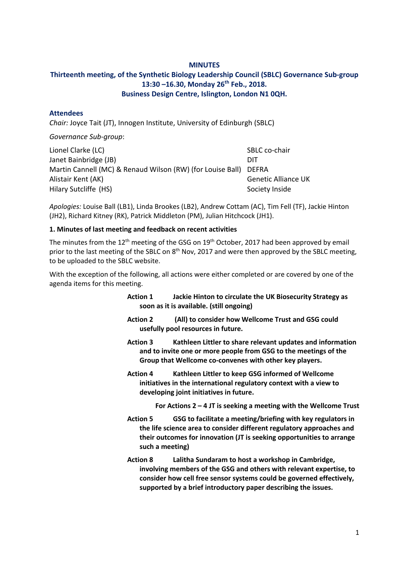## **MINUTES**

# **Thirteenth meeting, of the Synthetic Biology Leadership Council (SBLC) Governance Sub-group 13:30 –16.30, Monday 26th Feb., 2018. Business Design Centre, Islington, London N1 0QH.**

#### **Attendees**

*Chair:* Joyce Tait (JT), Innogen Institute, University of Edinburgh (SBLC)

*Governance Sub-group*:

| Lionel Clarke (LC)                                               | SBLC co-chair              |
|------------------------------------------------------------------|----------------------------|
| Janet Bainbridge (JB)                                            | DIT                        |
| Martin Cannell (MC) & Renaud Wilson (RW) (for Louise Ball) DEFRA |                            |
| Alistair Kent (AK)                                               | <b>Genetic Alliance UK</b> |
| Hilary Sutcliffe (HS)                                            | Society Inside             |

*Apologies:* Louise Ball (LB1), Linda Brookes (LB2), Andrew Cottam (AC), Tim Fell (TF), Jackie Hinton (JH2), Richard Kitney (RK), Patrick Middleton (PM), Julian Hitchcock (JH1).

#### **1. Minutes of last meeting and feedback on recent activities**

The minutes from the  $12<sup>th</sup>$  meeting of the GSG on  $19<sup>th</sup>$  October, 2017 had been approved by email prior to the last meeting of the SBLC on 8<sup>th</sup> Nov, 2017 and were then approved by the SBLC meeting, to be uploaded to the SBLC website.

With the exception of the following, all actions were either completed or are covered by one of the agenda items for this meeting.

- **Action 1 Jackie Hinton to circulate the UK Biosecurity Strategy as soon as it is available. (still ongoing)**
- **Action 2 (All) to consider how Wellcome Trust and GSG could usefully pool resources in future.**
- **Action 3 Kathleen Littler to share relevant updates and information and to invite one or more people from GSG to the meetings of the Group that Wellcome co-convenes with other key players.**
- **Action 4 Kathleen Littler to keep GSG informed of Wellcome initiatives in the international regulatory context with a view to developing joint initiatives in future.**

**For Actions 2 – 4 JT is seeking a meeting with the Wellcome Trust**

- **Action 5 GSG to facilitate a meeting/briefing with key regulators in the life science area to consider different regulatory approaches and their outcomes for innovation (JT is seeking opportunities to arrange such a meeting)**
- **Action 8 Lalitha Sundaram to host a workshop in Cambridge, involving members of the GSG and others with relevant expertise, to consider how cell free sensor systems could be governed effectively, supported by a brief introductory paper describing the issues.**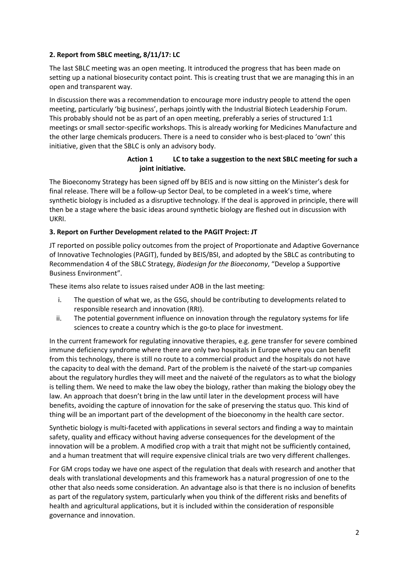## **2. Report from SBLC meeting, 8/11/17: LC**

The last SBLC meeting was an open meeting. It introduced the progress that has been made on setting up a national biosecurity contact point. This is creating trust that we are managing this in an open and transparent way.

In discussion there was a recommendation to encourage more industry people to attend the open meeting, particularly 'big business', perhaps jointly with the Industrial Biotech Leadership Forum. This probably should not be as part of an open meeting, preferably a series of structured 1:1 meetings or small sector-specific workshops. This is already working for Medicines Manufacture and the other large chemicals producers. There is a need to consider who is best-placed to 'own' this initiative, given that the SBLC is only an advisory body.

## **Action 1 LC to take a suggestion to the next SBLC meeting for such a joint initiative.**

The Bioeconomy Strategy has been signed off by BEIS and is now sitting on the Minister's desk for final release. There will be a follow-up Sector Deal, to be completed in a week's time, where synthetic biology is included as a disruptive technology. If the deal is approved in principle, there will then be a stage where the basic ideas around synthetic biology are fleshed out in discussion with UKRI.

## **3. Report on Further Development related to the PAGIT Project: JT**

JT reported on possible policy outcomes from the project of Proportionate and Adaptive Governance of Innovative Technologies (PAGIT), funded by BEIS/BSI, and adopted by the SBLC as contributing to Recommendation 4 of the SBLC Strategy, *Biodesign for the Bioeconomy*, "Develop a Supportive Business Environment".

These items also relate to issues raised under AOB in the last meeting:

- i. The question of what we, as the GSG, should be contributing to developments related to responsible research and innovation (RRI).
- ii. The potential government influence on innovation through the regulatory systems for life sciences to create a country which is the go-to place for investment.

In the current framework for regulating innovative therapies, e.g. gene transfer for severe combined immune deficiency syndrome where there are only two hospitals in Europe where you can benefit from this technology, there is still no route to a commercial product and the hospitals do not have the capacity to deal with the demand. Part of the problem is the naiveté of the start-up companies about the regulatory hurdles they will meet and the naiveté of the regulators as to what the biology is telling them. We need to make the law obey the biology, rather than making the biology obey the law. An approach that doesn't bring in the law until later in the development process will have benefits, avoiding the capture of innovation for the sake of preserving the status quo. This kind of thing will be an important part of the development of the bioeconomy in the health care sector.

Synthetic biology is multi-faceted with applications in several sectors and finding a way to maintain safety, quality and efficacy without having adverse consequences for the development of the innovation will be a problem. A modified crop with a trait that might not be sufficiently contained, and a human treatment that will require expensive clinical trials are two very different challenges.

For GM crops today we have one aspect of the regulation that deals with research and another that deals with translational developments and this framework has a natural progression of one to the other that also needs some consideration. An advantage also is that there is no inclusion of benefits as part of the regulatory system, particularly when you think of the different risks and benefits of health and agricultural applications, but it is included within the consideration of responsible governance and innovation.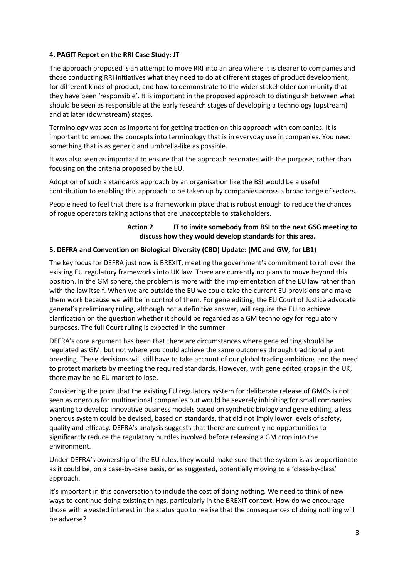## **4. PAGIT Report on the RRI Case Study: JT**

The approach proposed is an attempt to move RRI into an area where it is clearer to companies and those conducting RRI initiatives what they need to do at different stages of product development, for different kinds of product, and how to demonstrate to the wider stakeholder community that they have been 'responsible'. It is important in the proposed approach to distinguish between what should be seen as responsible at the early research stages of developing a technology (upstream) and at later (downstream) stages.

Terminology was seen as important for getting traction on this approach with companies. It is important to embed the concepts into terminology that is in everyday use in companies. You need something that is as generic and umbrella-like as possible.

It was also seen as important to ensure that the approach resonates with the purpose, rather than focusing on the criteria proposed by the EU.

Adoption of such a standards approach by an organisation like the BSI would be a useful contribution to enabling this approach to be taken up by companies across a broad range of sectors.

People need to feel that there is a framework in place that is robust enough to reduce the chances of rogue operators taking actions that are unacceptable to stakeholders.

## **Action 2 JT to invite somebody from BSI to the next GSG meeting to discuss how they would develop standards for this area.**

## **5. DEFRA and Convention on Biological Diversity (CBD) Update: (MC and GW, for LB1)**

The key focus for DEFRA just now is BREXIT, meeting the government's commitment to roll over the existing EU regulatory frameworks into UK law. There are currently no plans to move beyond this position. In the GM sphere, the problem is more with the implementation of the EU law rather than with the law itself. When we are outside the EU we could take the current EU provisions and make them work because we will be in control of them. For gene editing, the EU Court of Justice advocate general's preliminary ruling, although not a definitive answer, will require the EU to achieve clarification on the question whether it should be regarded as a GM technology for regulatory purposes. The full Court ruling is expected in the summer.

DEFRA's core argument has been that there are circumstances where gene editing should be regulated as GM, but not where you could achieve the same outcomes through traditional plant breeding. These decisions will still have to take account of our global trading ambitions and the need to protect markets by meeting the required standards. However, with gene edited crops in the UK, there may be no EU market to lose.

Considering the point that the existing EU regulatory system for deliberate release of GMOs is not seen as onerous for multinational companies but would be severely inhibiting for small companies wanting to develop innovative business models based on synthetic biology and gene editing, a less onerous system could be devised, based on standards, that did not imply lower levels of safety, quality and efficacy. DEFRA's analysis suggests that there are currently no opportunities to significantly reduce the regulatory hurdles involved before releasing a GM crop into the environment.

Under DEFRA's ownership of the EU rules, they would make sure that the system is as proportionate as it could be, on a case-by-case basis, or as suggested, potentially moving to a 'class-by-class' approach.

It's important in this conversation to include the cost of doing nothing. We need to think of new ways to continue doing existing things, particularly in the BREXIT context. How do we encourage those with a vested interest in the status quo to realise that the consequences of doing nothing will be adverse?